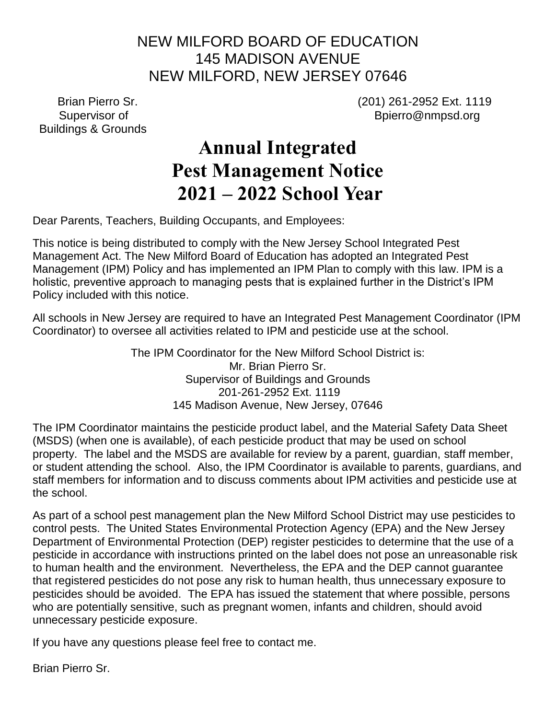### NEW MILFORD BOARD OF EDUCATION 145 MADISON AVENUE NEW MILFORD, NEW JERSEY 07646

Buildings & Grounds

Brian Pierro Sr.<br>
Supervisor of *COMPOND COMPOND COMPOND COMPOND COMPOND COMPOND COMPOND COMPOND COMPOND COMPOND COMPOND COMPOND COMPO<br>
Supervisor of <i>COMPOND COMPOND COMPOND COMPOND COMPOND* COMPOND COMPOND COMPOND COMPON Bpierro@nmpsd.org

## **Annual Integrated Pest Management Notice 2021 – 2022 School Year**

Dear Parents, Teachers, Building Occupants, and Employees:

This notice is being distributed to comply with the New Jersey School Integrated Pest Management Act. The New Milford Board of Education has adopted an Integrated Pest Management (IPM) Policy and has implemented an IPM Plan to comply with this law. IPM is a holistic, preventive approach to managing pests that is explained further in the District's IPM Policy included with this notice.

All schools in New Jersey are required to have an Integrated Pest Management Coordinator (IPM Coordinator) to oversee all activities related to IPM and pesticide use at the school.

> The IPM Coordinator for the New Milford School District is: Mr. Brian Pierro Sr. Supervisor of Buildings and Grounds 201-261-2952 Ext. 1119 145 Madison Avenue, New Jersey, 07646

The IPM Coordinator maintains the pesticide product label, and the Material Safety Data Sheet (MSDS) (when one is available), of each pesticide product that may be used on school property. The label and the MSDS are available for review by a parent, guardian, staff member, or student attending the school. Also, the IPM Coordinator is available to parents, guardians, and staff members for information and to discuss comments about IPM activities and pesticide use at the school.

As part of a school pest management plan the New Milford School District may use pesticides to control pests. The United States Environmental Protection Agency (EPA) and the New Jersey Department of Environmental Protection (DEP) register pesticides to determine that the use of a pesticide in accordance with instructions printed on the label does not pose an unreasonable risk to human health and the environment. Nevertheless, the EPA and the DEP cannot guarantee that registered pesticides do not pose any risk to human health, thus unnecessary exposure to pesticides should be avoided. The EPA has issued the statement that where possible, persons who are potentially sensitive, such as pregnant women, infants and children, should avoid unnecessary pesticide exposure.

If you have any questions please feel free to contact me.

Brian Pierro Sr.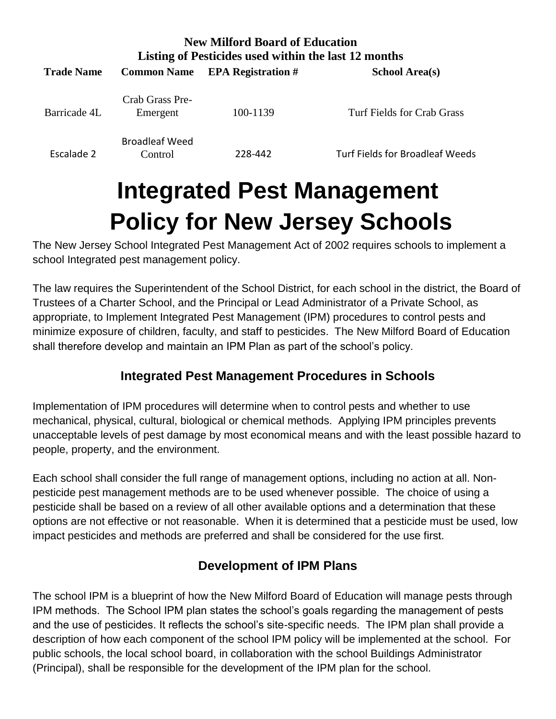| <b>New Milford Board of Education</b><br>Listing of Pesticides used within the last 12 months |                                  |                           |                                 |
|-----------------------------------------------------------------------------------------------|----------------------------------|---------------------------|---------------------------------|
| <b>Trade Name</b>                                                                             | <b>Common Name</b>               | <b>EPA Registration #</b> | <b>School Area(s)</b>           |
| Barricade 4L                                                                                  | Crab Grass Pre-<br>Emergent      | 100-1139                  | Turf Fields for Crab Grass      |
| Escalade 2                                                                                    | <b>Broadleaf Weed</b><br>Control | 228-442                   | Turf Fields for Broadleaf Weeds |

# **Integrated Pest Management Policy for New Jersey Schools**

The New Jersey School Integrated Pest Management Act of 2002 requires schools to implement a school Integrated pest management policy.

The law requires the Superintendent of the School District, for each school in the district, the Board of Trustees of a Charter School, and the Principal or Lead Administrator of a Private School, as appropriate, to Implement Integrated Pest Management (IPM) procedures to control pests and minimize exposure of children, faculty, and staff to pesticides. The New Milford Board of Education shall therefore develop and maintain an IPM Plan as part of the school's policy.

#### **Integrated Pest Management Procedures in Schools**

Implementation of IPM procedures will determine when to control pests and whether to use mechanical, physical, cultural, biological or chemical methods. Applying IPM principles prevents unacceptable levels of pest damage by most economical means and with the least possible hazard to people, property, and the environment.

Each school shall consider the full range of management options, including no action at all. Nonpesticide pest management methods are to be used whenever possible. The choice of using a pesticide shall be based on a review of all other available options and a determination that these options are not effective or not reasonable. When it is determined that a pesticide must be used, low impact pesticides and methods are preferred and shall be considered for the use first.

### **Development of IPM Plans**

The school IPM is a blueprint of how the New Milford Board of Education will manage pests through IPM methods. The School IPM plan states the school's goals regarding the management of pests and the use of pesticides. It reflects the school's site-specific needs. The IPM plan shall provide a description of how each component of the school IPM policy will be implemented at the school. For public schools, the local school board, in collaboration with the school Buildings Administrator (Principal), shall be responsible for the development of the IPM plan for the school.